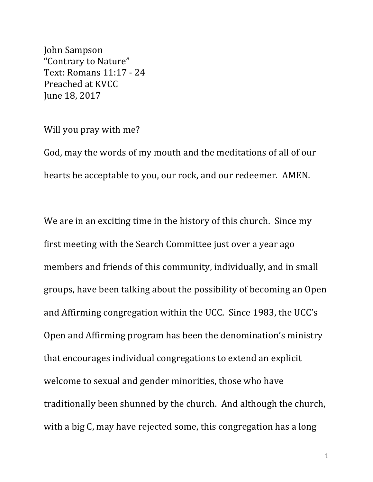John Sampson "Contrary to Nature" Text: Romans 11:17 - 24 Preached at KVCC June 18, 2017

## Will you pray with me?

God, may the words of my mouth and the meditations of all of our hearts be acceptable to you, our rock, and our redeemer. AMEN.

We are in an exciting time in the history of this church. Since my first meeting with the Search Committee just over a year ago members and friends of this community, individually, and in small groups, have been talking about the possibility of becoming an Open and Affirming congregation within the UCC. Since 1983, the UCC's Open and Affirming program has been the denomination's ministry that encourages individual congregations to extend an explicit welcome to sexual and gender minorities, those who have traditionally been shunned by the church. And although the church, with a big C, may have rejected some, this congregation has a long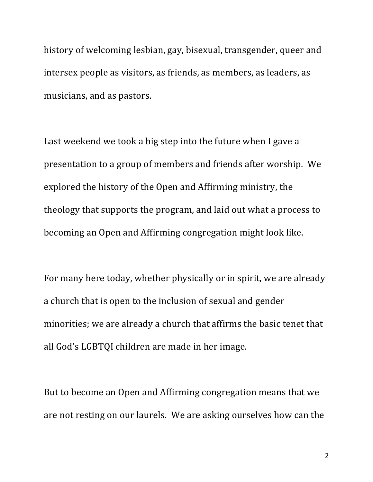history of welcoming lesbian, gay, bisexual, transgender, queer and intersex people as visitors, as friends, as members, as leaders, as musicians, and as pastors.

Last weekend we took a big step into the future when I gave a presentation to a group of members and friends after worship. We explored the history of the Open and Affirming ministry, the theology that supports the program, and laid out what a process to becoming an Open and Affirming congregation might look like.

For many here today, whether physically or in spirit, we are already a church that is open to the inclusion of sexual and gender minorities; we are already a church that affirms the basic tenet that all God's LGBTQI children are made in her image.

But to become an Open and Affirming congregation means that we are not resting on our laurels. We are asking ourselves how can the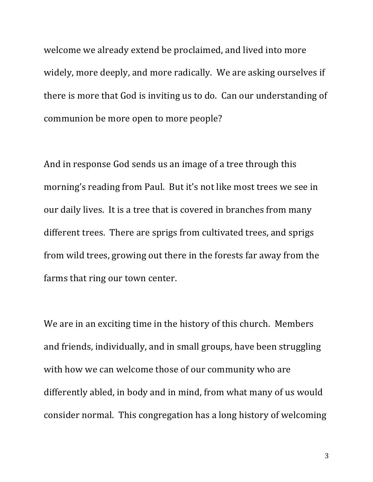welcome we already extend be proclaimed, and lived into more widely, more deeply, and more radically. We are asking ourselves if there is more that God is inviting us to do. Can our understanding of communion be more open to more people?

And in response God sends us an image of a tree through this morning's reading from Paul. But it's not like most trees we see in our daily lives. It is a tree that is covered in branches from many different trees. There are sprigs from cultivated trees, and sprigs from wild trees, growing out there in the forests far away from the farms that ring our town center.

We are in an exciting time in the history of this church. Members and friends, individually, and in small groups, have been struggling with how we can welcome those of our community who are differently abled, in body and in mind, from what many of us would consider normal. This congregation has a long history of welcoming

3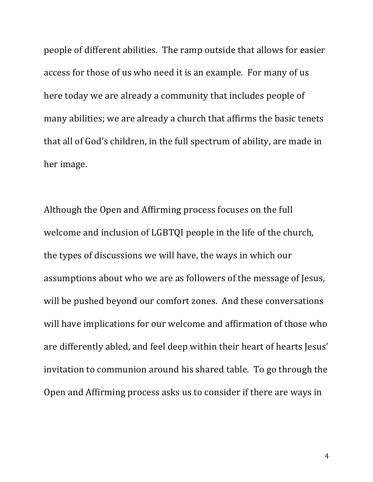people of different abilities. The ramp outside that allows for easier access for those of us who need it is an example. For many of us here today we are already a community that includes people of many abilities; we are already a church that affirms the basic tenets that all of God's children, in the full spectrum of ability, are made in her image.

Although the Open and Affirming process focuses on the full welcome and inclusion of LGBTQI people in the life of the church, the types of discussions we will have, the ways in which our assumptions about who we are as followers of the message of Jesus, will be pushed beyond our comfort zones. And these conversations will have implications for our welcome and affirmation of those who are differently abled, and feel deep within their heart of hearts Jesus' invitation to communion around his shared table. To go through the Open and Affirming process asks us to consider if there are ways in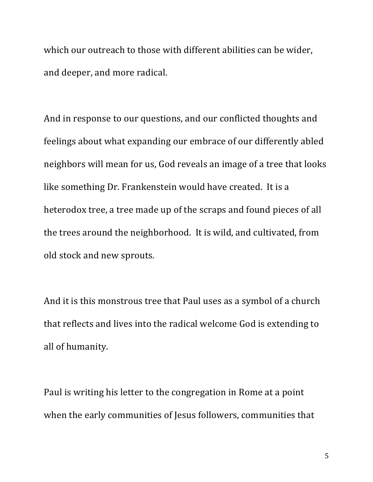which our outreach to those with different abilities can be wider, and deeper, and more radical.

And in response to our questions, and our conflicted thoughts and feelings about what expanding our embrace of our differently abled neighbors will mean for us, God reveals an image of a tree that looks like something Dr. Frankenstein would have created. It is a heterodox tree, a tree made up of the scraps and found pieces of all the trees around the neighborhood. It is wild, and cultivated, from old stock and new sprouts.

And it is this monstrous tree that Paul uses as a symbol of a church that reflects and lives into the radical welcome God is extending to all of humanity.

Paul is writing his letter to the congregation in Rome at a point when the early communities of Jesus followers, communities that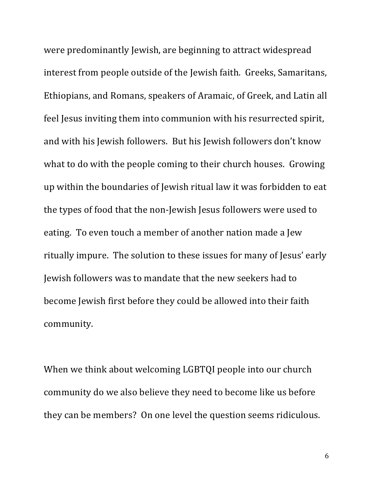were predominantly Jewish, are beginning to attract widespread interest from people outside of the Jewish faith. Greeks, Samaritans, Ethiopians, and Romans, speakers of Aramaic, of Greek, and Latin all feel Jesus inviting them into communion with his resurrected spirit, and with his Jewish followers. But his Jewish followers don't know what to do with the people coming to their church houses. Growing up within the boundaries of Jewish ritual law it was forbidden to eat the types of food that the non-Jewish Jesus followers were used to eating. To even touch a member of another nation made a Jew ritually impure. The solution to these issues for many of Jesus' early Jewish followers was to mandate that the new seekers had to become Jewish first before they could be allowed into their faith community.

When we think about welcoming LGBTQI people into our church community do we also believe they need to become like us before they can be members? On one level the question seems ridiculous.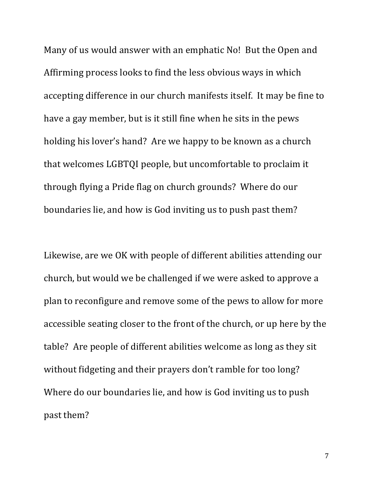Many of us would answer with an emphatic No! But the Open and Affirming process looks to find the less obvious ways in which accepting difference in our church manifests itself. It may be fine to have a gay member, but is it still fine when he sits in the pews holding his lover's hand? Are we happy to be known as a church that welcomes LGBTQI people, but uncomfortable to proclaim it through flying a Pride flag on church grounds? Where do our boundaries lie, and how is God inviting us to push past them?

Likewise, are we OK with people of different abilities attending our church, but would we be challenged if we were asked to approve a plan to reconfigure and remove some of the pews to allow for more accessible seating closer to the front of the church, or up here by the table? Are people of different abilities welcome as long as they sit without fidgeting and their prayers don't ramble for too long? Where do our boundaries lie, and how is God inviting us to push past them?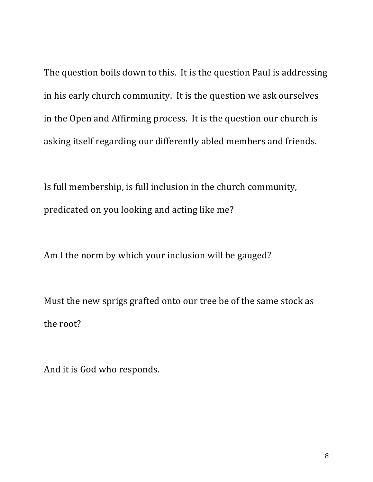The question boils down to this. It is the question Paul is addressing in his early church community. It is the question we ask ourselves in the Open and Affirming process. It is the question our church is asking itself regarding our differently abled members and friends.

Is full membership, is full inclusion in the church community, predicated on you looking and acting like me?

Am I the norm by which your inclusion will be gauged?

Must the new sprigs grafted onto our tree be of the same stock as the root?

And it is God who responds.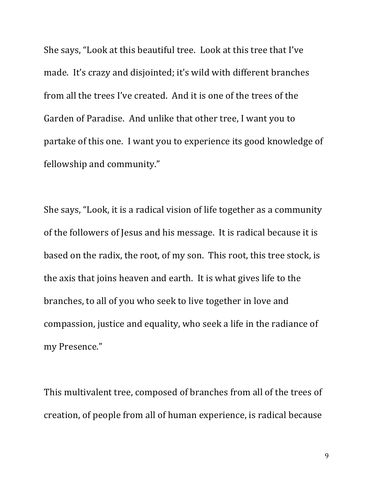She says, "Look at this beautiful tree. Look at this tree that I've made. It's crazy and disjointed; it's wild with different branches from all the trees I've created. And it is one of the trees of the Garden of Paradise. And unlike that other tree, I want you to partake of this one. I want you to experience its good knowledge of fellowship and community."

She says, "Look, it is a radical vision of life together as a community of the followers of Jesus and his message. It is radical because it is based on the radix, the root, of my son. This root, this tree stock, is the axis that joins heaven and earth. It is what gives life to the branches, to all of you who seek to live together in love and compassion, justice and equality, who seek a life in the radiance of my Presence."

This multivalent tree, composed of branches from all of the trees of creation, of people from all of human experience, is radical because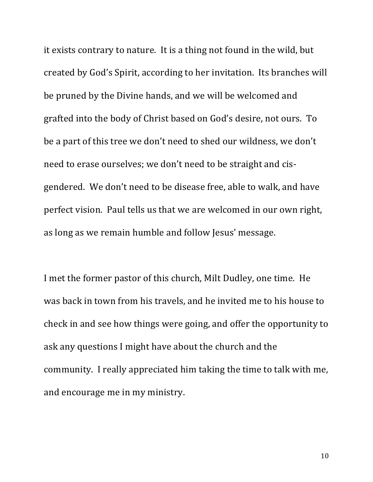it exists contrary to nature. It is a thing not found in the wild, but created by God's Spirit, according to her invitation. Its branches will be pruned by the Divine hands, and we will be welcomed and grafted into the body of Christ based on God's desire, not ours. To be a part of this tree we don't need to shed our wildness, we don't need to erase ourselves; we don't need to be straight and cisgendered. We don't need to be disease free, able to walk, and have perfect vision. Paul tells us that we are welcomed in our own right, as long as we remain humble and follow Jesus' message.

I met the former pastor of this church, Milt Dudley, one time. He was back in town from his travels, and he invited me to his house to check in and see how things were going, and offer the opportunity to ask any questions I might have about the church and the community. I really appreciated him taking the time to talk with me, and encourage me in my ministry.

10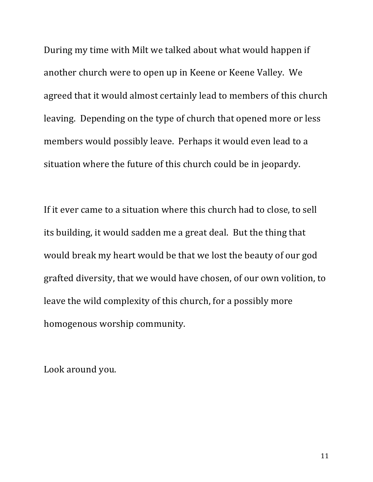During my time with Milt we talked about what would happen if another church were to open up in Keene or Keene Valley. We agreed that it would almost certainly lead to members of this church leaving. Depending on the type of church that opened more or less members would possibly leave. Perhaps it would even lead to a situation where the future of this church could be in jeopardy.

If it ever came to a situation where this church had to close, to sell its building, it would sadden me a great deal. But the thing that would break my heart would be that we lost the beauty of our god grafted diversity, that we would have chosen, of our own volition, to leave the wild complexity of this church, for a possibly more homogenous worship community.

Look around you.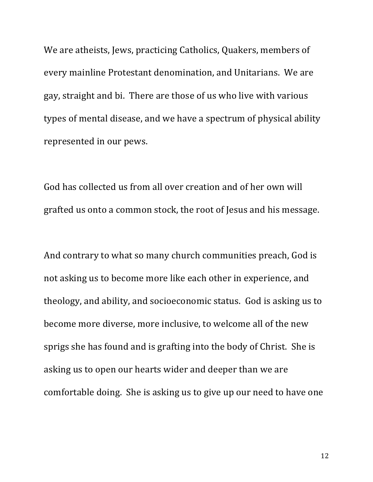We are atheists, Jews, practicing Catholics, Quakers, members of every mainline Protestant denomination, and Unitarians. We are gay, straight and bi. There are those of us who live with various types of mental disease, and we have a spectrum of physical ability represented in our pews.

God has collected us from all over creation and of her own will grafted us onto a common stock, the root of Jesus and his message.

And contrary to what so many church communities preach, God is not asking us to become more like each other in experience, and theology, and ability, and socioeconomic status. God is asking us to become more diverse, more inclusive, to welcome all of the new sprigs she has found and is grafting into the body of Christ. She is asking us to open our hearts wider and deeper than we are comfortable doing. She is asking us to give up our need to have one